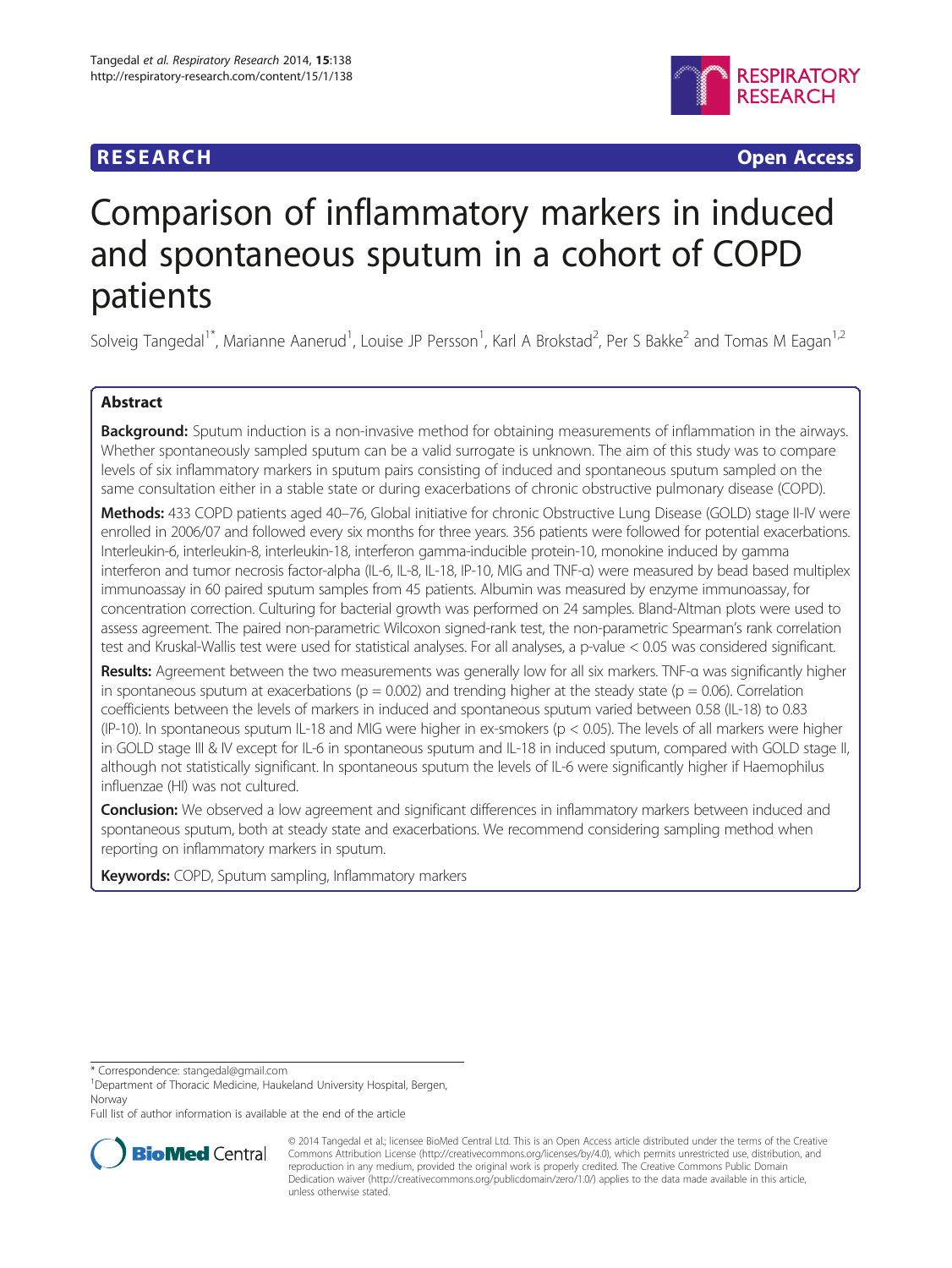## **RESEARCH RESEARCH** *CHECK CHECK CHECK CHECK CHECK CHECK CHECK CHECK CHECK CHECK CHECK CHECK CHECK CHECK CHECK CHECK CHECK CHECK CHECK CHECK CHECK CHECK CHECK CHECK CHECK CHECK CHECK CHECK CHECK CHECK CHECK CHECK CHECK*



# Comparison of inflammatory markers in induced and spontaneous sputum in a cohort of COPD patients

Solveig Tangedal<sup>1\*</sup>, Marianne Aanerud<sup>1</sup>, Louise JP Persson<sup>1</sup>, Karl A Brokstad<sup>2</sup>, Per S Bakke<sup>2</sup> and Tomas M Eagan<sup>1,2</sup>

## Abstract

Background: Sputum induction is a non-invasive method for obtaining measurements of inflammation in the airways. Whether spontaneously sampled sputum can be a valid surrogate is unknown. The aim of this study was to compare levels of six inflammatory markers in sputum pairs consisting of induced and spontaneous sputum sampled on the same consultation either in a stable state or during exacerbations of chronic obstructive pulmonary disease (COPD).

Methods: 433 COPD patients aged 40-76, Global initiative for chronic Obstructive Lung Disease (GOLD) stage II-IV were enrolled in 2006/07 and followed every six months for three years. 356 patients were followed for potential exacerbations. Interleukin-6, interleukin-8, interleukin-18, interferon gamma-inducible protein-10, monokine induced by gamma interferon and tumor necrosis factor-alpha (IL-6, IL-8, IL-18, IP-10, MIG and TNF-α) were measured by bead based multiplex immunoassay in 60 paired sputum samples from 45 patients. Albumin was measured by enzyme immunoassay, for concentration correction. Culturing for bacterial growth was performed on 24 samples. Bland-Altman plots were used to assess agreement. The paired non-parametric Wilcoxon signed-rank test, the non-parametric Spearman's rank correlation test and Kruskal-Wallis test were used for statistical analyses. For all analyses, a p-value < 0.05 was considered significant.

Results: Agreement between the two measurements was generally low for all six markers. TNF-α was significantly higher in spontaneous sputum at exacerbations ( $p = 0.002$ ) and trending higher at the steady state ( $p = 0.06$ ). Correlation coefficients between the levels of markers in induced and spontaneous sputum varied between 0.58 (IL-18) to 0.83 (IP-10). In spontaneous sputum IL-18 and MIG were higher in ex-smokers (p < 0.05). The levels of all markers were higher in GOLD stage III & IV except for IL-6 in spontaneous sputum and IL-18 in induced sputum, compared with GOLD stage II, although not statistically significant. In spontaneous sputum the levels of IL-6 were significantly higher if Haemophilus influenzae (HI) was not cultured.

Conclusion: We observed a low agreement and significant differences in inflammatory markers between induced and spontaneous sputum, both at steady state and exacerbations. We recommend considering sampling method when reporting on inflammatory markers in sputum.

Keywords: COPD, Sputum sampling, Inflammatory markers

\* Correspondence: [stangedal@gmail.com](mailto:stangedal@gmail.com) <sup>1</sup>

<sup>1</sup>Department of Thoracic Medicine, Haukeland University Hospital, Bergen, Norway

Full list of author information is available at the end of the article



© 2014 Tangedal et al.; licensee BioMed Central Ltd. This is an Open Access article distributed under the terms of the Creative Commons Attribution License [\(http://creativecommons.org/licenses/by/4.0\)](http://creativecommons.org/licenses/by/4.0), which permits unrestricted use, distribution, and reproduction in any medium, provided the original work is properly credited. The Creative Commons Public Domain Dedication waiver [\(http://creativecommons.org/publicdomain/zero/1.0/](http://creativecommons.org/publicdomain/zero/1.0/)) applies to the data made available in this article, unless otherwise stated.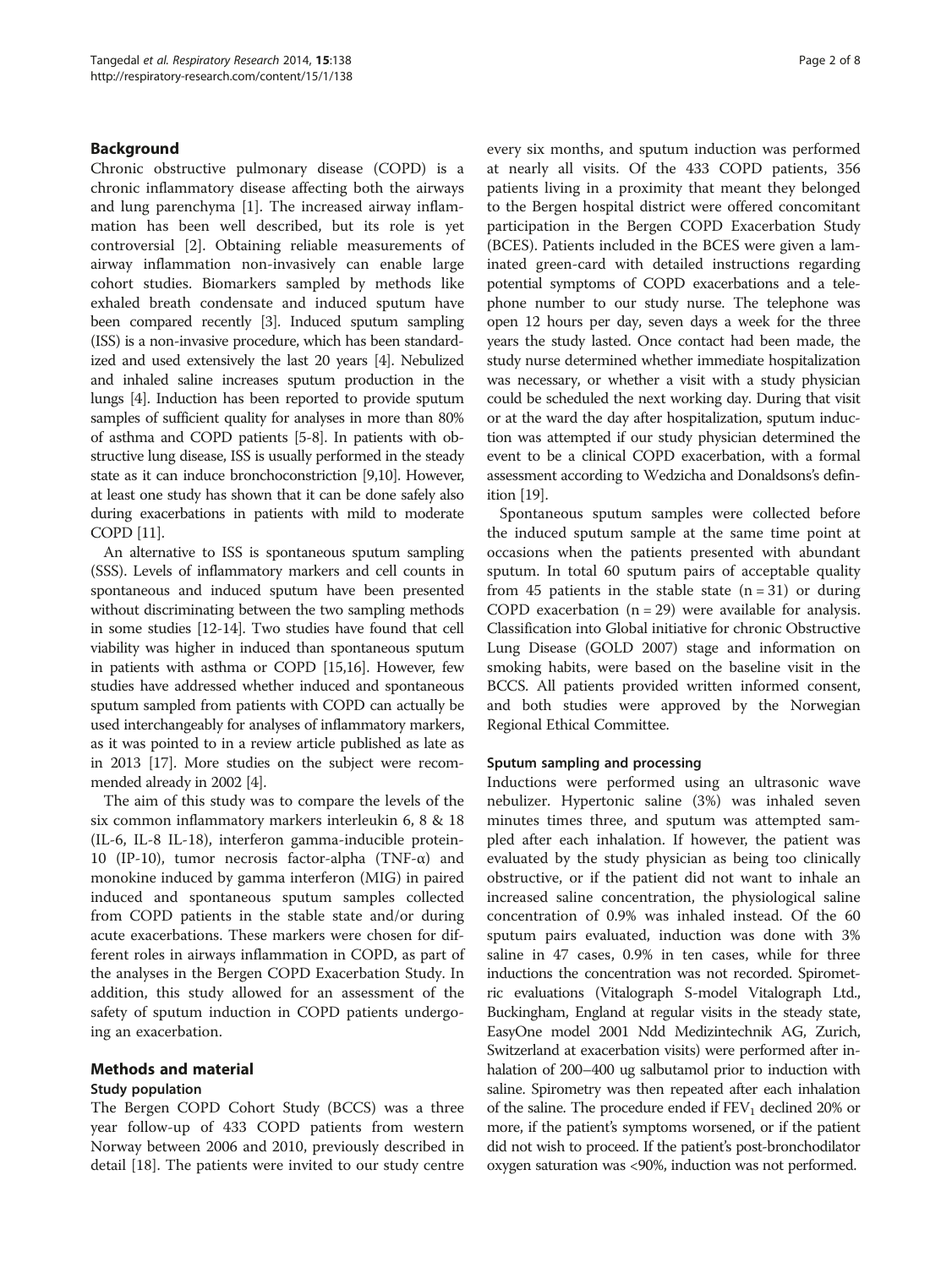## Background

Chronic obstructive pulmonary disease (COPD) is a chronic inflammatory disease affecting both the airways and lung parenchyma [\[1](#page-7-0)]. The increased airway inflammation has been well described, but its role is yet controversial [[2](#page-7-0)]. Obtaining reliable measurements of airway inflammation non-invasively can enable large cohort studies. Biomarkers sampled by methods like exhaled breath condensate and induced sputum have been compared recently [\[3\]](#page-7-0). Induced sputum sampling (ISS) is a non-invasive procedure, which has been standardized and used extensively the last 20 years [\[4\]](#page-7-0). Nebulized and inhaled saline increases sputum production in the lungs [\[4\]](#page-7-0). Induction has been reported to provide sputum samples of sufficient quality for analyses in more than 80% of asthma and COPD patients [\[5-8\]](#page-7-0). In patients with obstructive lung disease, ISS is usually performed in the steady state as it can induce bronchoconstriction [[9,10\]](#page-7-0). However, at least one study has shown that it can be done safely also during exacerbations in patients with mild to moderate COPD [[11\]](#page-7-0).

An alternative to ISS is spontaneous sputum sampling (SSS). Levels of inflammatory markers and cell counts in spontaneous and induced sputum have been presented without discriminating between the two sampling methods in some studies [\[12-14\]](#page-7-0). Two studies have found that cell viability was higher in induced than spontaneous sputum in patients with asthma or COPD [\[15,16](#page-7-0)]. However, few studies have addressed whether induced and spontaneous sputum sampled from patients with COPD can actually be used interchangeably for analyses of inflammatory markers, as it was pointed to in a review article published as late as in 2013 [\[17\]](#page-7-0). More studies on the subject were recommended already in 2002 [\[4\]](#page-7-0).

The aim of this study was to compare the levels of the six common inflammatory markers interleukin 6, 8 & 18 (IL-6, IL-8 IL-18), interferon gamma-inducible protein-10 (IP-10), tumor necrosis factor-alpha (TNF-α) and monokine induced by gamma interferon (MIG) in paired induced and spontaneous sputum samples collected from COPD patients in the stable state and/or during acute exacerbations. These markers were chosen for different roles in airways inflammation in COPD, as part of the analyses in the Bergen COPD Exacerbation Study. In addition, this study allowed for an assessment of the safety of sputum induction in COPD patients undergoing an exacerbation.

## Methods and material

### Study population

The Bergen COPD Cohort Study (BCCS) was a three year follow-up of 433 COPD patients from western Norway between 2006 and 2010, previously described in detail [\[18](#page-7-0)]. The patients were invited to our study centre

every six months, and sputum induction was performed at nearly all visits. Of the 433 COPD patients, 356 patients living in a proximity that meant they belonged to the Bergen hospital district were offered concomitant participation in the Bergen COPD Exacerbation Study (BCES). Patients included in the BCES were given a laminated green-card with detailed instructions regarding potential symptoms of COPD exacerbations and a telephone number to our study nurse. The telephone was open 12 hours per day, seven days a week for the three years the study lasted. Once contact had been made, the study nurse determined whether immediate hospitalization was necessary, or whether a visit with a study physician could be scheduled the next working day. During that visit or at the ward the day after hospitalization, sputum induction was attempted if our study physician determined the event to be a clinical COPD exacerbation, with a formal assessment according to Wedzicha and Donaldsons's definition [\[19\]](#page-7-0).

Spontaneous sputum samples were collected before the induced sputum sample at the same time point at occasions when the patients presented with abundant sputum. In total 60 sputum pairs of acceptable quality from 45 patients in the stable state  $(n = 31)$  or during COPD exacerbation  $(n = 29)$  were available for analysis. Classification into Global initiative for chronic Obstructive Lung Disease (GOLD 2007) stage and information on smoking habits, were based on the baseline visit in the BCCS. All patients provided written informed consent, and both studies were approved by the Norwegian Regional Ethical Committee.

### Sputum sampling and processing

Inductions were performed using an ultrasonic wave nebulizer. Hypertonic saline (3%) was inhaled seven minutes times three, and sputum was attempted sampled after each inhalation. If however, the patient was evaluated by the study physician as being too clinically obstructive, or if the patient did not want to inhale an increased saline concentration, the physiological saline concentration of 0.9% was inhaled instead. Of the 60 sputum pairs evaluated, induction was done with 3% saline in 47 cases, 0.9% in ten cases, while for three inductions the concentration was not recorded. Spirometric evaluations (Vitalograph S-model Vitalograph Ltd., Buckingham, England at regular visits in the steady state, EasyOne model 2001 Ndd Medizintechnik AG, Zurich, Switzerland at exacerbation visits) were performed after inhalation of 200–400 ug salbutamol prior to induction with saline. Spirometry was then repeated after each inhalation of the saline. The procedure ended if  $FEV<sub>1</sub>$  declined 20% or more, if the patient's symptoms worsened, or if the patient did not wish to proceed. If the patient's post-bronchodilator oxygen saturation was <90%, induction was not performed.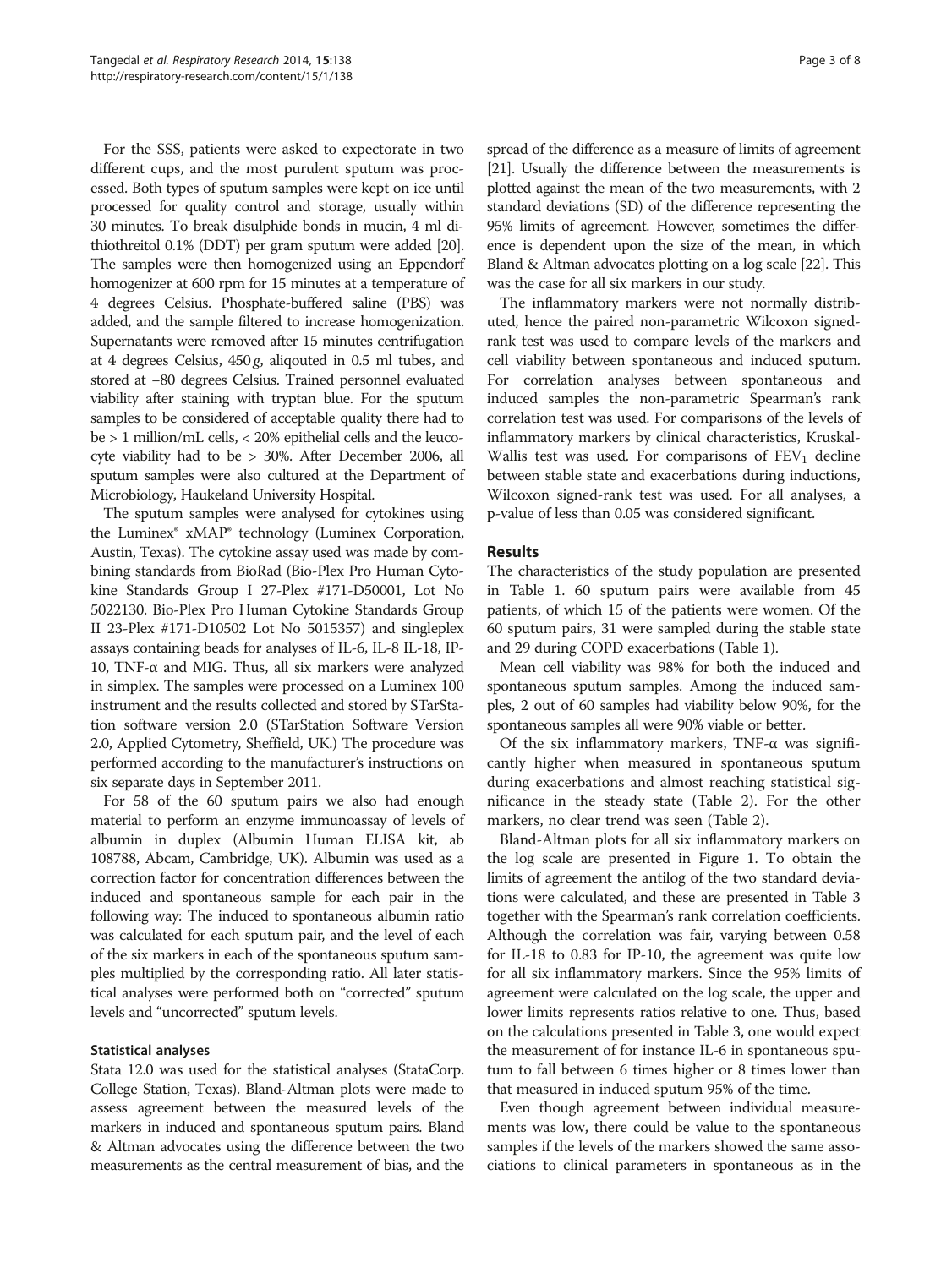For the SSS, patients were asked to expectorate in two different cups, and the most purulent sputum was processed. Both types of sputum samples were kept on ice until processed for quality control and storage, usually within 30 minutes. To break disulphide bonds in mucin, 4 ml dithiothreitol 0.1% (DDT) per gram sputum were added [\[20](#page-7-0)]. The samples were then homogenized using an Eppendorf homogenizer at 600 rpm for 15 minutes at a temperature of 4 degrees Celsius. Phosphate-buffered saline (PBS) was added, and the sample filtered to increase homogenization. Supernatants were removed after 15 minutes centrifugation at 4 degrees Celsius,  $450 g$ , aliqouted in 0.5 ml tubes, and stored at −80 degrees Celsius. Trained personnel evaluated viability after staining with tryptan blue. For the sputum samples to be considered of acceptable quality there had to be > 1 million/mL cells, < 20% epithelial cells and the leucocyte viability had to be > 30%. After December 2006, all sputum samples were also cultured at the Department of Microbiology, Haukeland University Hospital.

The sputum samples were analysed for cytokines using the Luminex® xMAP® technology (Luminex Corporation, Austin, Texas). The cytokine assay used was made by combining standards from BioRad (Bio-Plex Pro Human Cytokine Standards Group I 27-Plex #171-D50001, Lot No 5022130. Bio-Plex Pro Human Cytokine Standards Group II 23-Plex #171-D10502 Lot No 5015357) and singleplex assays containing beads for analyses of IL-6, IL-8 IL-18, IP-10, TNF-α and MIG. Thus, all six markers were analyzed in simplex. The samples were processed on a Luminex 100 instrument and the results collected and stored by STarStation software version 2.0 (STarStation Software Version 2.0, Applied Cytometry, Sheffield, UK.) The procedure was performed according to the manufacturer's instructions on six separate days in September 2011.

For 58 of the 60 sputum pairs we also had enough material to perform an enzyme immunoassay of levels of albumin in duplex (Albumin Human ELISA kit, ab 108788, Abcam, Cambridge, UK). Albumin was used as a correction factor for concentration differences between the induced and spontaneous sample for each pair in the following way: The induced to spontaneous albumin ratio was calculated for each sputum pair, and the level of each of the six markers in each of the spontaneous sputum samples multiplied by the corresponding ratio. All later statistical analyses were performed both on "corrected" sputum levels and "uncorrected" sputum levels.

## Statistical analyses

Stata 12.0 was used for the statistical analyses (StataCorp. College Station, Texas). Bland-Altman plots were made to assess agreement between the measured levels of the markers in induced and spontaneous sputum pairs. Bland & Altman advocates using the difference between the two measurements as the central measurement of bias, and the

spread of the difference as a measure of limits of agreement [[21](#page-7-0)]. Usually the difference between the measurements is plotted against the mean of the two measurements, with 2 standard deviations (SD) of the difference representing the 95% limits of agreement. However, sometimes the difference is dependent upon the size of the mean, in which Bland & Altman advocates plotting on a log scale [\[22](#page-7-0)]. This was the case for all six markers in our study.

The inflammatory markers were not normally distributed, hence the paired non-parametric Wilcoxon signedrank test was used to compare levels of the markers and cell viability between spontaneous and induced sputum. For correlation analyses between spontaneous and induced samples the non-parametric Spearman's rank correlation test was used. For comparisons of the levels of inflammatory markers by clinical characteristics, Kruskal-Wallis test was used. For comparisons of  $FEV<sub>1</sub>$  decline between stable state and exacerbations during inductions, Wilcoxon signed-rank test was used. For all analyses, a p-value of less than 0.05 was considered significant.

## Results

The characteristics of the study population are presented in Table [1](#page-3-0). 60 sputum pairs were available from 45 patients, of which 15 of the patients were women. Of the 60 sputum pairs, 31 were sampled during the stable state and 29 during COPD exacerbations (Table [1](#page-3-0)).

Mean cell viability was 98% for both the induced and spontaneous sputum samples. Among the induced samples, 2 out of 60 samples had viability below 90%, for the spontaneous samples all were 90% viable or better.

Of the six inflammatory markers, TNF- $\alpha$  was significantly higher when measured in spontaneous sputum during exacerbations and almost reaching statistical significance in the steady state (Table [2\)](#page-3-0). For the other markers, no clear trend was seen (Table [2\)](#page-3-0).

Bland-Altman plots for all six inflammatory markers on the log scale are presented in Figure [1](#page-4-0). To obtain the limits of agreement the antilog of the two standard deviations were calculated, and these are presented in Table [3](#page-4-0) together with the Spearman's rank correlation coefficients. Although the correlation was fair, varying between 0.58 for IL-18 to 0.83 for IP-10, the agreement was quite low for all six inflammatory markers. Since the 95% limits of agreement were calculated on the log scale, the upper and lower limits represents ratios relative to one. Thus, based on the calculations presented in Table [3](#page-4-0), one would expect the measurement of for instance IL-6 in spontaneous sputum to fall between 6 times higher or 8 times lower than that measured in induced sputum 95% of the time.

Even though agreement between individual measurements was low, there could be value to the spontaneous samples if the levels of the markers showed the same associations to clinical parameters in spontaneous as in the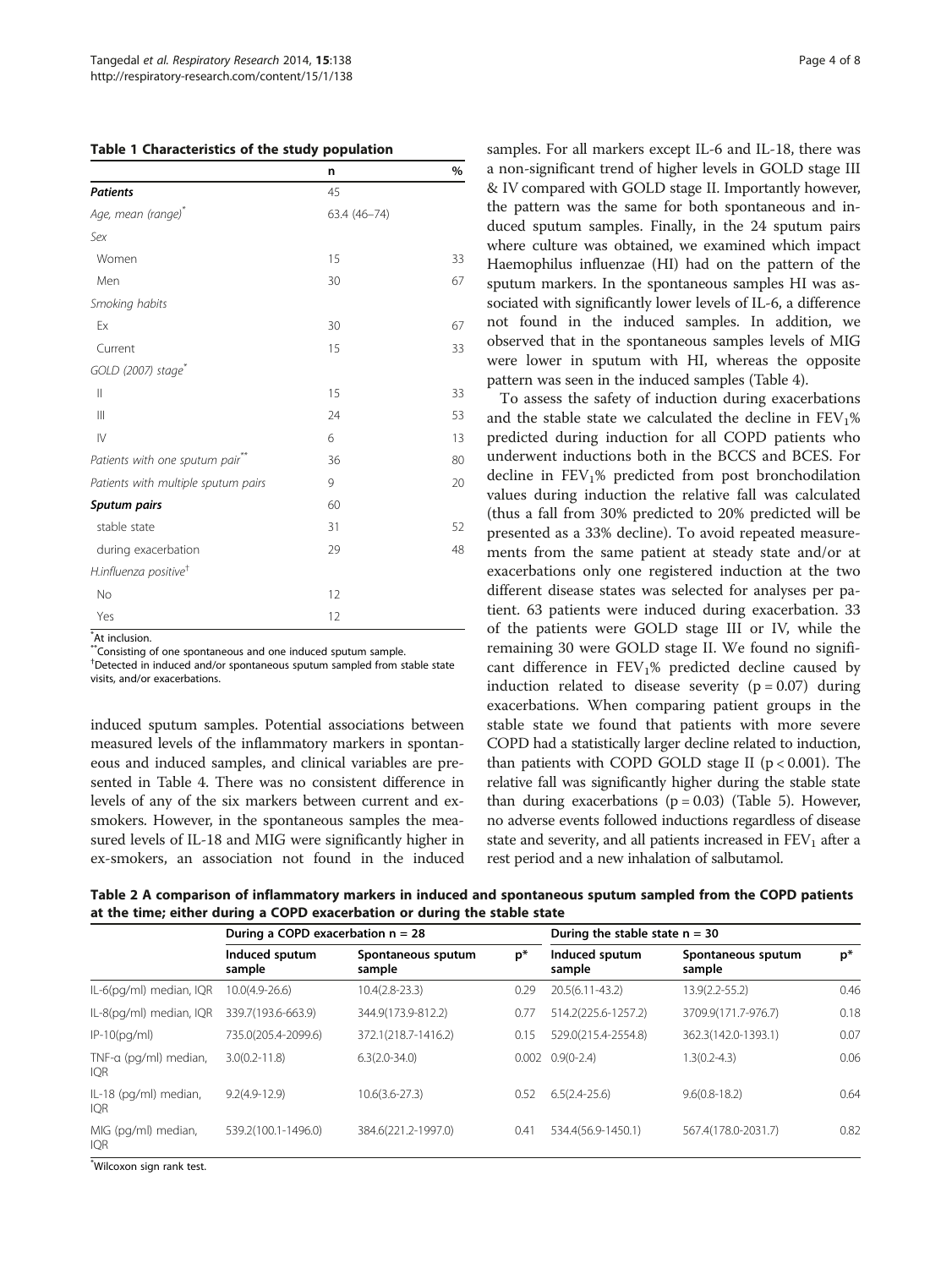<span id="page-3-0"></span>

|                                     | n            | %  |
|-------------------------------------|--------------|----|
| <b>Patients</b>                     | 45           |    |
| Age, mean (range)*                  | 63.4 (46-74) |    |
| Sex                                 |              |    |
| Women                               | 15           | 33 |
| Men                                 | 30           | 67 |
| Smoking habits                      |              |    |
| Ex                                  | 30           | 67 |
| Current                             | 15           | 33 |
| GOLD (2007) stage <sup>*</sup>      |              |    |
| $\mathbf{I}$                        | 15           | 33 |
| $\parallel$                         | 24           | 53 |
| $\mathsf{IV}$                       | 6            | 13 |
| Patients with one sputum pair**     | 36           | 80 |
| Patients with multiple sputum pairs | 9            | 20 |
| Sputum pairs                        | 60           |    |
| stable state                        | 31           | 52 |
| during exacerbation                 | 29           | 48 |
| H.influenza positive <sup>+</sup>   |              |    |
| <b>No</b>                           | 12           |    |
| Yes                                 | 12           |    |

\* At inclusion.

\*\*Consisting of one spontaneous and one induced sputum sample.

† Detected in induced and/or spontaneous sputum sampled from stable state visits, and/or exacerbations.

induced sputum samples. Potential associations between measured levels of the inflammatory markers in spontaneous and induced samples, and clinical variables are presented in Table [4.](#page-5-0) There was no consistent difference in levels of any of the six markers between current and exsmokers. However, in the spontaneous samples the measured levels of IL-18 and MIG were significantly higher in ex-smokers, an association not found in the induced samples. For all markers except IL-6 and IL-18, there was a non-significant trend of higher levels in GOLD stage III & IV compared with GOLD stage II. Importantly however, the pattern was the same for both spontaneous and induced sputum samples. Finally, in the 24 sputum pairs where culture was obtained, we examined which impact Haemophilus influenzae (HI) had on the pattern of the sputum markers. In the spontaneous samples HI was associated with significantly lower levels of IL-6, a difference not found in the induced samples. In addition, we observed that in the spontaneous samples levels of MIG were lower in sputum with HI, whereas the opposite pattern was seen in the induced samples (Table [4\)](#page-5-0).

To assess the safety of induction during exacerbations and the stable state we calculated the decline in  $FEV<sub>1</sub>%$ predicted during induction for all COPD patients who underwent inductions both in the BCCS and BCES. For decline in  $FEV<sub>1</sub>%$  predicted from post bronchodilation values during induction the relative fall was calculated (thus a fall from 30% predicted to 20% predicted will be presented as a 33% decline). To avoid repeated measurements from the same patient at steady state and/or at exacerbations only one registered induction at the two different disease states was selected for analyses per patient. 63 patients were induced during exacerbation. 33 of the patients were GOLD stage III or IV, while the remaining 30 were GOLD stage II. We found no significant difference in  $FEV<sub>1</sub>%$  predicted decline caused by induction related to disease severity  $(p = 0.07)$  during exacerbations. When comparing patient groups in the stable state we found that patients with more severe COPD had a statistically larger decline related to induction, than patients with COPD GOLD stage II  $(p < 0.001)$ . The relative fall was significantly higher during the stable state than during exacerbations  $(p = 0.03)$  (Table [5\)](#page-6-0). However, no adverse events followed inductions regardless of disease state and severity, and all patients increased in  $FEV<sub>1</sub>$  after a rest period and a new inhalation of salbutamol.

Table 2 A comparison of inflammatory markers in induced and spontaneous sputum sampled from the COPD patients at the time; either during a COPD exacerbation or during the stable state

|                                     | During a COPD exacerbation $n = 28$ |                              | During the stable state $n = 30$ |                          |                              |       |
|-------------------------------------|-------------------------------------|------------------------------|----------------------------------|--------------------------|------------------------------|-------|
|                                     | Induced sputum<br>sample            | Spontaneous sputum<br>sample | $p^*$                            | Induced sputum<br>sample | Spontaneous sputum<br>sample | $p^*$ |
| IL-6(pg/ml) median, IQR             | $10.0(4.9 - 26.6)$                  | $10.4(2.8-23.3)$             | 0.29                             | 20.5(6.11-43.2)          | 13.9(2.2-55.2)               | 0.46  |
| IL-8(pg/ml) median, IQR             | 339.7(193.6-663.9)                  | 344.9(173.9-812.2)           | 0.77                             | 514.2(225.6-1257.2)      | 3709.9(171.7-976.7)          | 0.18  |
| $IP-10(pq/ml)$                      | 735.0(205.4-2099.6)                 | 372.1(218.7-1416.2)          | 0.15                             | 529.0(215.4-2554.8)      | 362.3(142.0-1393.1)          | 0.07  |
| TNF-a (pg/ml) median,<br>IQR        | $3.0(0.2 - 11.8)$                   | $6.3(2.0-34.0)$              |                                  | $0.002$ $0.9(0-2.4)$     | $1.3(0.2 - 4.3)$             | 0.06  |
| IL-18 (pg/ml) median,<br><b>IOR</b> | $9.2(4.9-12.9)$                     | $10.6(3.6-27.3)$             | 0.52                             | $6.5(2.4-25.6)$          | $9.6(0.8 - 18.2)$            | 0.64  |
| MIG (pg/ml) median,<br>IQR          | 539.2(100.1-1496.0)                 | 384.6(221.2-1997.0)          | 0.41                             | 534.4(56.9-1450.1)       | 567.4(178.0-2031.7)          | 0.82  |

\* Wilcoxon sign rank test.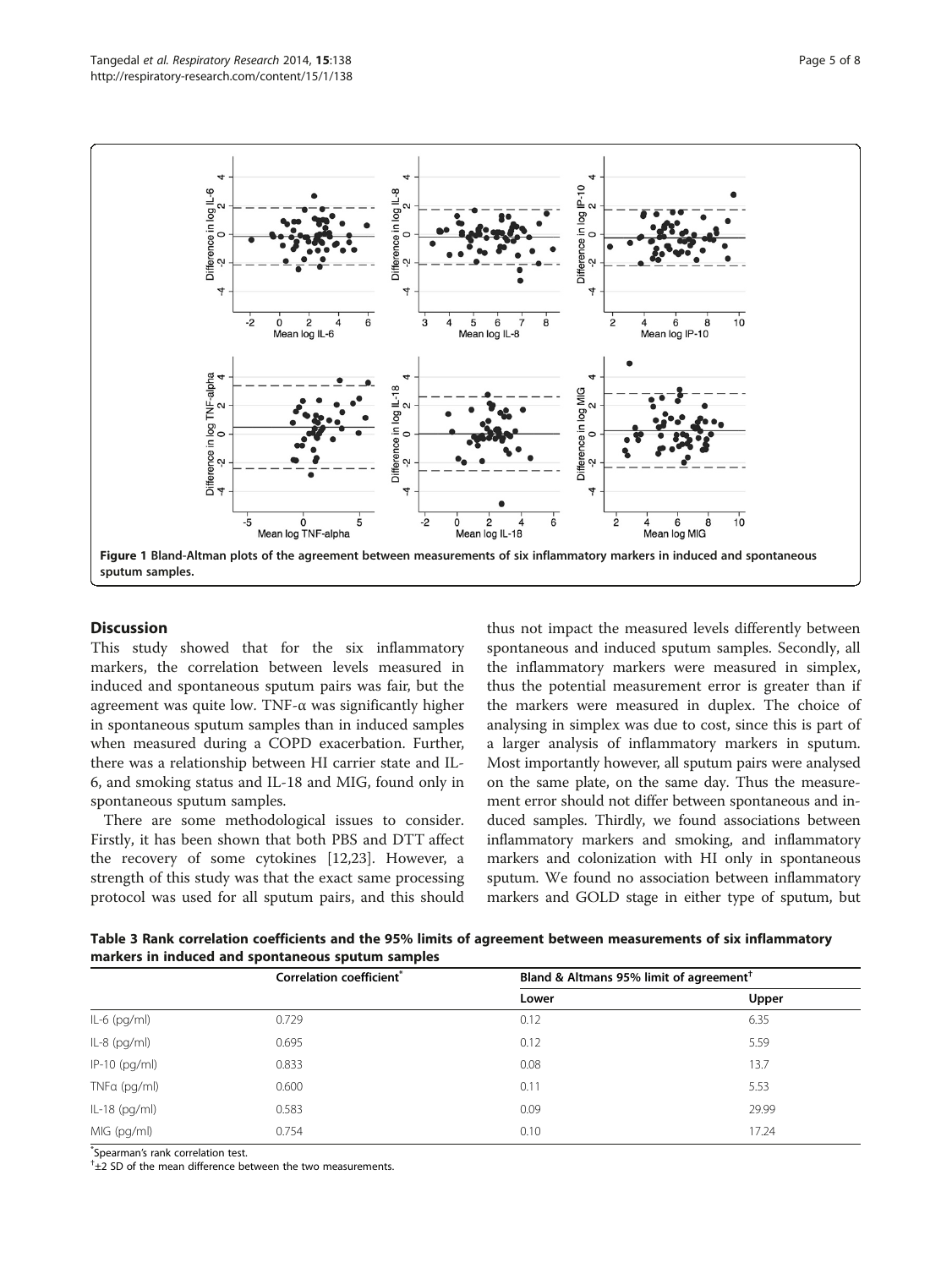

<span id="page-4-0"></span>

## **Discussion**

This study showed that for the six inflammatory markers, the correlation between levels measured in induced and spontaneous sputum pairs was fair, but the agreement was quite low. TNF-α was significantly higher in spontaneous sputum samples than in induced samples when measured during a COPD exacerbation. Further, there was a relationship between HI carrier state and IL-6, and smoking status and IL-18 and MIG, found only in spontaneous sputum samples.

There are some methodological issues to consider. Firstly, it has been shown that both PBS and DTT affect the recovery of some cytokines [[12,23\]](#page-7-0). However, a strength of this study was that the exact same processing protocol was used for all sputum pairs, and this should

thus not impact the measured levels differently between spontaneous and induced sputum samples. Secondly, all the inflammatory markers were measured in simplex, thus the potential measurement error is greater than if the markers were measured in duplex. The choice of analysing in simplex was due to cost, since this is part of a larger analysis of inflammatory markers in sputum. Most importantly however, all sputum pairs were analysed on the same plate, on the same day. Thus the measurement error should not differ between spontaneous and induced samples. Thirdly, we found associations between inflammatory markers and smoking, and inflammatory markers and colonization with HI only in spontaneous sputum. We found no association between inflammatory markers and GOLD stage in either type of sputum, but

Table 3 Rank correlation coefficients and the 95% limits of agreement between measurements of six inflammatory markers in induced and spontaneous sputum samples

|                 | Correlation coefficient <sup>®</sup> | Bland & Altmans 95% limit of agreement <sup>†</sup> |       |  |  |
|-----------------|--------------------------------------|-----------------------------------------------------|-------|--|--|
|                 |                                      | Lower                                               | Upper |  |  |
| IL-6 (pg/ml)    | 0.729                                | 0.12                                                | 6.35  |  |  |
| IL-8 (pg/ml)    | 0.695                                | 0.12                                                | 5.59  |  |  |
| $IP-10$ (pg/ml) | 0.833                                | 0.08                                                | 13.7  |  |  |
| TNFa (pg/ml)    | 0.600                                | 0.11                                                | 5.53  |  |  |
| $IL-18$ (pg/ml) | 0.583                                | 0.09                                                | 29.99 |  |  |
| MIG (pg/ml)     | 0.754                                | 0.10                                                | 17.24 |  |  |

\*<br>Spearman's rank correlation test.<br>T+2.5D of the mean difference be

 $^{\dagger}$ ±2 SD of the mean difference between the two measurements.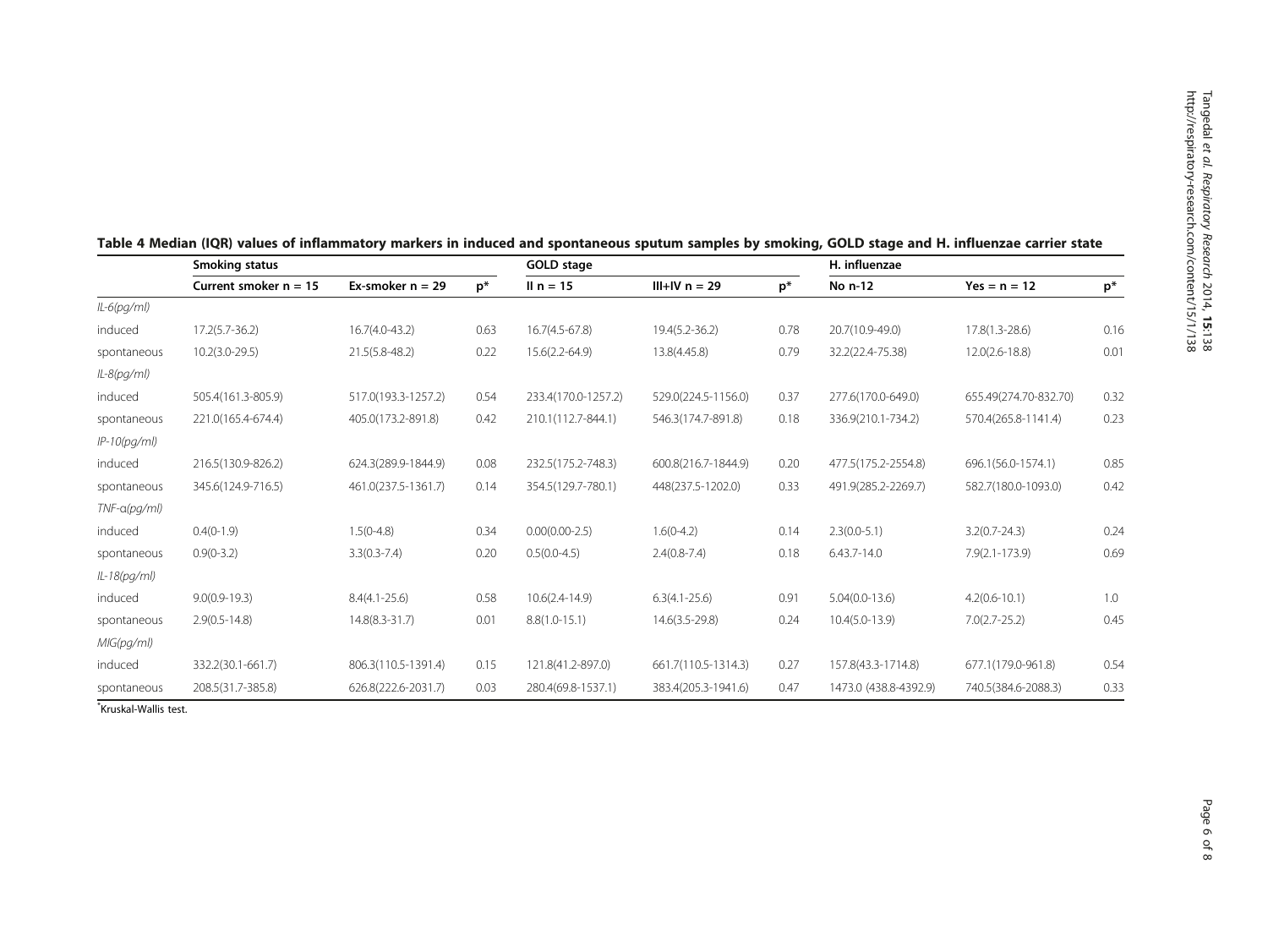|                | Smoking status          |                     |       | GOLD stage          |                     |       | H. influenzae         |                       |                |
|----------------|-------------------------|---------------------|-------|---------------------|---------------------|-------|-----------------------|-----------------------|----------------|
|                | Current smoker $n = 15$ | Ex-smoker $n = 29$  | $p^*$ | $II n = 15$         | $III+IV n = 29$     | $p^*$ | No n-12               | $Yes = n = 12$        | $\mathsf{p}^*$ |
| $IL-6(pq/ml)$  |                         |                     |       |                     |                     |       |                       |                       |                |
| induced        | $17.2(5.7 - 36.2)$      | $16.7(4.0-43.2)$    | 0.63  | $16.7(4.5-67.8)$    | 19.4(5.2-36.2)      | 0.78  | 20.7(10.9-49.0)       | 17.8(1.3-28.6)        | 0.16           |
| spontaneous    | $10.2(3.0-29.5)$        | 21.5(5.8-48.2)      | 0.22  | $15.6(2.2-64.9)$    | 13.8(4.45.8)        | 0.79  | 32.2(22.4-75.38)      | $12.0(2.6 - 18.8)$    | 0.01           |
| IL-8(pg/ml)    |                         |                     |       |                     |                     |       |                       |                       |                |
| induced        | 505.4(161.3-805.9)      | 517.0(193.3-1257.2) | 0.54  | 233.4(170.0-1257.2) | 529.0(224.5-1156.0) | 0.37  | 277.6(170.0-649.0)    | 655.49(274.70-832.70) | 0.32           |
| spontaneous    | 221.0(165.4-674.4)      | 405.0(173.2-891.8)  | 0.42  | 210.1(112.7-844.1)  | 546.3(174.7-891.8)  | 0.18  | 336.9(210.1-734.2)    | 570.4(265.8-1141.4)   | 0.23           |
| $IP-10(pg/ml)$ |                         |                     |       |                     |                     |       |                       |                       |                |
| induced        | 216.5(130.9-826.2)      | 624.3(289.9-1844.9) | 0.08  | 232.5(175.2-748.3)  | 600.8(216.7-1844.9) | 0.20  | 477.5(175.2-2554.8)   | 696.1(56.0-1574.1)    | 0.85           |
| spontaneous    | 345.6(124.9-716.5)      | 461.0(237.5-1361.7) | 0.14  | 354.5(129.7-780.1)  | 448(237.5-1202.0)   | 0.33  | 491.9(285.2-2269.7)   | 582.7(180.0-1093.0)   | 0.42           |
| $TNF-a(pq/ml)$ |                         |                     |       |                     |                     |       |                       |                       |                |
| induced        | $0.4(0-1.9)$            | $1.5(0-4.8)$        | 0.34  | $0.00(0.00-2.5)$    | $1.6(0-4.2)$        | 0.14  | $2.3(0.0-5.1)$        | $3.2(0.7 - 24.3)$     | 0.24           |
| spontaneous    | $0.9(0-3.2)$            | $3.3(0.3 - 7.4)$    | 0.20  | $0.5(0.0-4.5)$      | $2.4(0.8-7.4)$      | 0.18  | 6.43.7-14.0           | $7.9(2.1 - 173.9)$    | 0.69           |
| IL-18(pg/ml)   |                         |                     |       |                     |                     |       |                       |                       |                |
| induced        | $9.0(0.9 - 19.3)$       | $8.4(4.1 - 25.6)$   | 0.58  | $10.6(2.4 - 14.9)$  | $6.3(4.1 - 25.6)$   | 0.91  | $5.04(0.0-13.6)$      | $4.2(0.6 - 10.1)$     | 1.0            |
| spontaneous    | $2.9(0.5 - 14.8)$       | $14.8(8.3 - 31.7)$  | 0.01  | $8.8(1.0-15.1)$     | 14.6(3.5-29.8)      | 0.24  | $10.4(5.0-13.9)$      | $7.0(2.7 - 25.2)$     | 0.45           |
| MIG(pg/ml)     |                         |                     |       |                     |                     |       |                       |                       |                |
| induced        | 332.2(30.1-661.7)       | 806.3(110.5-1391.4) | 0.15  | 121.8(41.2-897.0)   | 661.7(110.5-1314.3) | 0.27  | 157.8(43.3-1714.8)    | 677.1(179.0-961.8)    | 0.54           |
| spontaneous    | 208.5(31.7-385.8)       | 626.8(222.6-2031.7) | 0.03  | 280.4(69.8-1537.1)  | 383.4(205.3-1941.6) | 0.47  | 1473.0 (438.8-4392.9) | 740.5(384.6-2088.3)   | 0.33           |

## <span id="page-5-0"></span>Table 4 Median (IQR) values of inflammatory markers in induced and spontaneous sputum samples by smoking, GOLD stage and H. influenzae carrier state

\* Kruskal-Wallis test.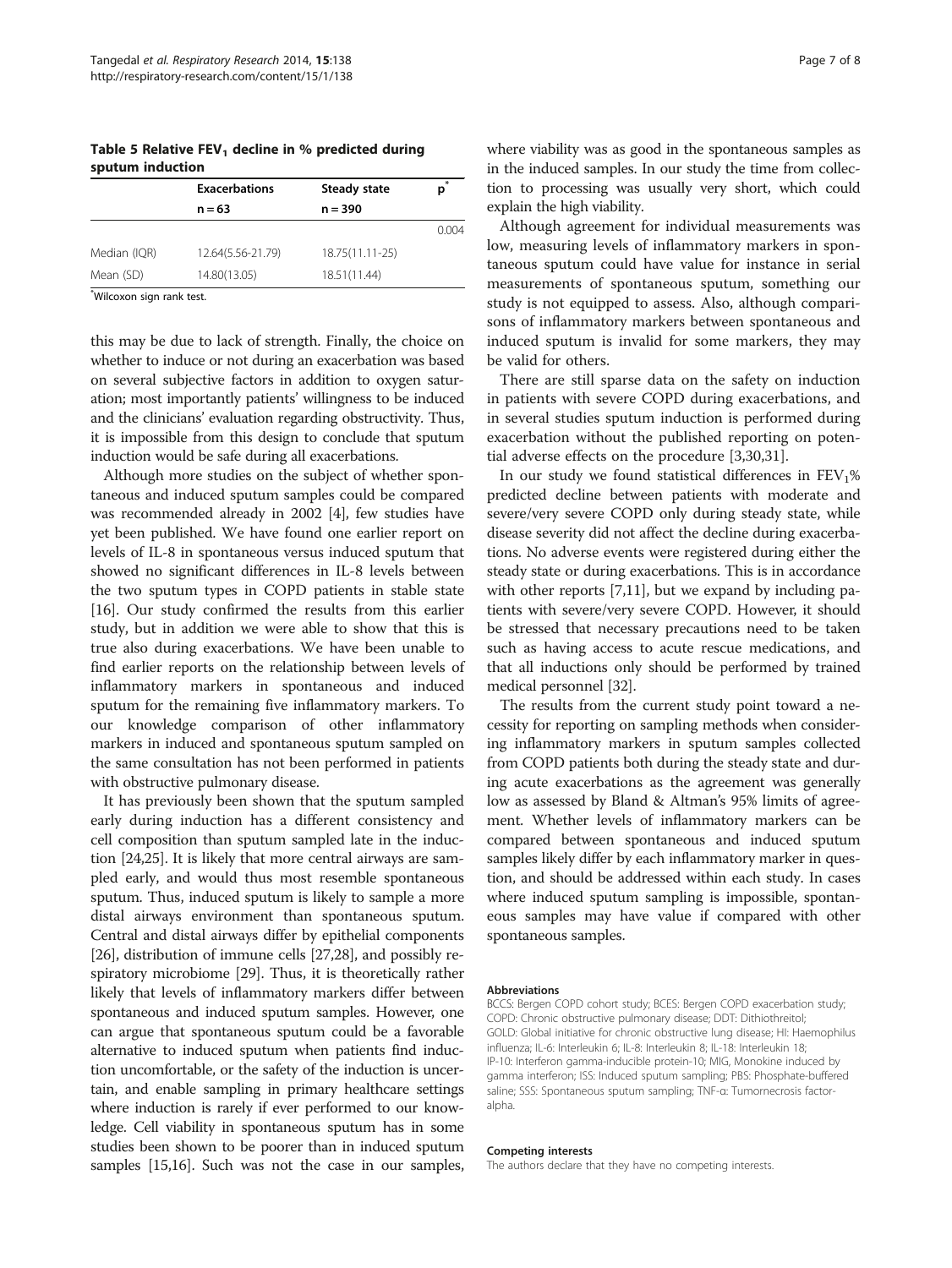<span id="page-6-0"></span>Table 5 Relative FEV<sub>1</sub> decline in % predicted during sputum induction

|              | <b>Exacerbations</b> | Steady state    | $\boldsymbol{\ast}$<br>р |  |
|--------------|----------------------|-----------------|--------------------------|--|
|              | $n = 63$             | $n = 390$       |                          |  |
|              |                      |                 | 0.004                    |  |
| Median (IQR) | 12.64(5.56-21.79)    | 18.75(11.11-25) |                          |  |
| Mean (SD)    | 14.80(13.05)         | 18.51(11.44)    |                          |  |

\* Wilcoxon sign rank test.

this may be due to lack of strength. Finally, the choice on whether to induce or not during an exacerbation was based on several subjective factors in addition to oxygen saturation; most importantly patients' willingness to be induced and the clinicians' evaluation regarding obstructivity. Thus, it is impossible from this design to conclude that sputum induction would be safe during all exacerbations.

Although more studies on the subject of whether spontaneous and induced sputum samples could be compared was recommended already in 2002 [[4](#page-7-0)], few studies have yet been published. We have found one earlier report on levels of IL-8 in spontaneous versus induced sputum that showed no significant differences in IL-8 levels between the two sputum types in COPD patients in stable state [[16](#page-7-0)]. Our study confirmed the results from this earlier study, but in addition we were able to show that this is true also during exacerbations. We have been unable to find earlier reports on the relationship between levels of inflammatory markers in spontaneous and induced sputum for the remaining five inflammatory markers. To our knowledge comparison of other inflammatory markers in induced and spontaneous sputum sampled on the same consultation has not been performed in patients with obstructive pulmonary disease.

It has previously been shown that the sputum sampled early during induction has a different consistency and cell composition than sputum sampled late in the induction [[24,25\]](#page-7-0). It is likely that more central airways are sampled early, and would thus most resemble spontaneous sputum. Thus, induced sputum is likely to sample a more distal airways environment than spontaneous sputum. Central and distal airways differ by epithelial components [[26](#page-7-0)], distribution of immune cells [\[27,28\]](#page-7-0), and possibly respiratory microbiome [\[29](#page-7-0)]. Thus, it is theoretically rather likely that levels of inflammatory markers differ between spontaneous and induced sputum samples. However, one can argue that spontaneous sputum could be a favorable alternative to induced sputum when patients find induction uncomfortable, or the safety of the induction is uncertain, and enable sampling in primary healthcare settings where induction is rarely if ever performed to our knowledge. Cell viability in spontaneous sputum has in some studies been shown to be poorer than in induced sputum samples [[15,16\]](#page-7-0). Such was not the case in our samples, where viability was as good in the spontaneous samples as in the induced samples. In our study the time from collection to processing was usually very short, which could explain the high viability.

Although agreement for individual measurements was low, measuring levels of inflammatory markers in spontaneous sputum could have value for instance in serial measurements of spontaneous sputum, something our study is not equipped to assess. Also, although comparisons of inflammatory markers between spontaneous and induced sputum is invalid for some markers, they may be valid for others.

There are still sparse data on the safety on induction in patients with severe COPD during exacerbations, and in several studies sputum induction is performed during exacerbation without the published reporting on potential adverse effects on the procedure [\[3](#page-7-0),[30,31](#page-7-0)].

In our study we found statistical differences in  $FEV<sub>1</sub>%$ predicted decline between patients with moderate and severe/very severe COPD only during steady state, while disease severity did not affect the decline during exacerbations. No adverse events were registered during either the steady state or during exacerbations. This is in accordance with other reports [[7,11](#page-7-0)], but we expand by including patients with severe/very severe COPD. However, it should be stressed that necessary precautions need to be taken such as having access to acute rescue medications, and that all inductions only should be performed by trained medical personnel [\[32](#page-7-0)].

The results from the current study point toward a necessity for reporting on sampling methods when considering inflammatory markers in sputum samples collected from COPD patients both during the steady state and during acute exacerbations as the agreement was generally low as assessed by Bland & Altman's 95% limits of agreement. Whether levels of inflammatory markers can be compared between spontaneous and induced sputum samples likely differ by each inflammatory marker in question, and should be addressed within each study. In cases where induced sputum sampling is impossible, spontaneous samples may have value if compared with other spontaneous samples.

#### Abbreviations

BCCS: Bergen COPD cohort study; BCES: Bergen COPD exacerbation study; COPD: Chronic obstructive pulmonary disease; DDT: Dithiothreitol; GOLD: Global initiative for chronic obstructive lung disease; HI: Haemophilus influenza; IL-6: Interleukin 6; IL-8: Interleukin 8; IL-18: Interleukin 18; IP-10: Interferon gamma-inducible protein-10; MIG, Monokine induced by gamma interferon; ISS: Induced sputum sampling; PBS: Phosphate-buffered saline; SSS: Spontaneous sputum sampling; TNF-α: Tumornecrosis factoralpha.

#### Competing interests

The authors declare that they have no competing interests.